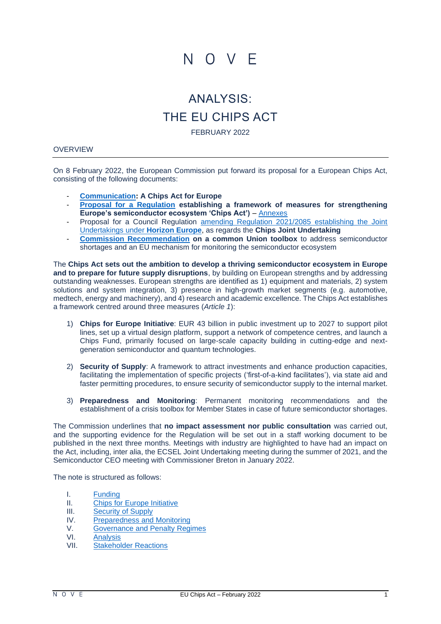

# ANALYSIS: THE EU CHIPS ACT

FEBRUARY 2022

## **OVERVIEW**

On 8 February 2022, the European Commission put forward its proposal for a European Chips Act, consisting of the following documents:

- **[Communication:](https://ec.europa.eu/newsroom/dae/redirection/document/83086) A Chips Act for Europe**
- **[Proposal for a Regulation](https://ec.europa.eu/newsroom/dae/redirection/document/83090) establishing a framework of measures for strengthening Europe's semiconductor ecosystem 'Chips Act')** – [Annexes](https://ec.europa.eu/newsroom/dae/redirection/document/83084)
- Proposal for a Council Regulation amending Regulation 2021/2085 establishing the Joint [Undertakings under](https://ec.europa.eu/newsroom/dae/redirection/document/83087) **Horizon Europe**, as regards the **Chips Joint Undertaking**
- **[Commission Recommendation](https://ec.europa.eu/newsroom/dae/redirection/document/83095) on a common Union toolbox** to address semiconductor shortages and an EU mechanism for monitoring the semiconductor ecosystem

The **Chips Act sets out the ambition to develop a thriving semiconductor ecosystem in Europe and to prepare for future supply disruptions**, by building on European strengths and by addressing outstanding weaknesses. European strengths are identified as 1) equipment and materials, 2) system solutions and system integration, 3) presence in high-growth market segments (e.g. automotive, medtech, energy and machinery), and 4) research and academic excellence. The Chips Act establishes a framework centred around three measures (*Article 1*):

- 1) **Chips for Europe Initiative**: EUR 43 billion in public investment up to 2027 to support pilot lines, set up a virtual design platform, support a network of competence centres, and launch a Chips Fund, primarily focused on large-scale capacity building in cutting-edge and nextgeneration semiconductor and quantum technologies.
- 2) **Security of Supply**: A framework to attract investments and enhance production capacities, facilitating the implementation of specific projects ('first-of-a-kind facilitates'), via state aid and faster permitting procedures, to ensure security of semiconductor supply to the internal market.
- 3) **Preparedness and Monitoring**: Permanent monitoring recommendations and the establishment of a crisis toolbox for Member States in case of future semiconductor shortages.

The Commission underlines that **no impact assessment nor public consultation** was carried out, and the supporting evidence for the Regulation will be set out in a staff working document to be published in the next three months. Meetings with industry are highlighted to have had an impact on the Act, including, inter alia, the ECSEL Joint Undertaking meeting during the summer of 2021, and the Semiconductor CEO meeting with Commissioner Breton in January 2022.

The note is structured as follows:

- I. Funding
- II. [Chips for Europe Initiative](#page-2-0)
- III. [Security of Supply](#page-3-0)
- IV. [Preparedness and Monitoring](#page-4-0)
- V. Governance and [Penalty Regimes](#page-5-0)
- VI. [Analysis](#page-6-0)
- VII. [Stakeholder Reactions](#page-8-0)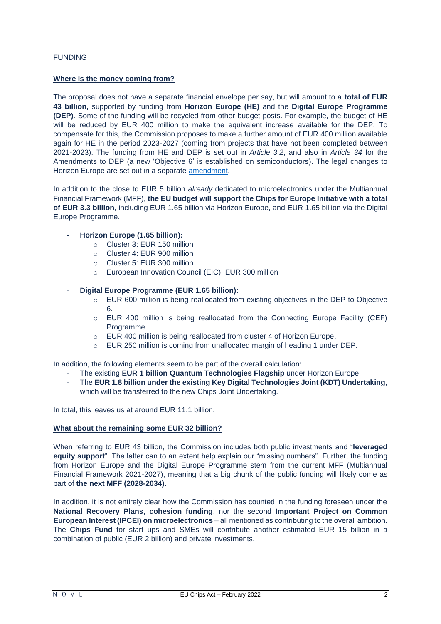## **Where is the money coming from?**

The proposal does not have a separate financial envelope per say, but will amount to a **total of EUR 43 billion,** supported by funding from **Horizon Europe (HE)** and the **Digital Europe Programme (DEP)**. Some of the funding will be recycled from other budget posts. For example, the budget of HE will be reduced by EUR 400 million to make the equivalent increase available for the DEP. To compensate for this, the Commission proposes to make a further amount of EUR 400 million available again for HE in the period 2023-2027 (coming from projects that have not been completed between 2021-2023). The funding from HE and DEP is set out in *Article 3.2*, and also in *Article 34* for the Amendments to DEP (a new 'Objective 6' is established on semiconductors). The legal changes to Horizon Europe are set out in a separate [amendment.](https://ec.europa.eu/newsroom/dae/redirection/document/83087)

In addition to the close to EUR 5 billion *already* dedicated to microelectronics under the Multiannual Financial Framework (MFF), **the EU budget will support the Chips for Europe Initiative with a total of EUR 3.3 billion**, including EUR 1.65 billion via Horizon Europe, and EUR 1.65 billion via the Digital Europe Programme.

## - **Horizon Europe (1.65 billion):**

- o Cluster 3: EUR 150 million
- o Cluster 4: EUR 900 million
- o Cluster 5: EUR 300 million
- o European Innovation Council (EIC): EUR 300 million

### - **Digital Europe Programme (EUR 1.65 billion):**

- $\circ$  EUR 600 million is being reallocated from existing objectives in the DEP to Objective 6.
- $\circ$  EUR 400 million is being reallocated from the Connecting Europe Facility (CEF) Programme.
- o EUR 400 million is being reallocated from cluster 4 of Horizon Europe.
- $\circ$  EUR 250 million is coming from unallocated margin of heading 1 under DEP.

In addition, the following elements seem to be part of the overall calculation:

- The existing **EUR 1 billion Quantum Technologies Flagship** under Horizon Europe.
- The **EUR 1.8 billion under the existing Key Digital Technologies Joint (KDT) Undertaking**, which will be transferred to the new Chips Joint Undertaking.

In total, this leaves us at around EUR 11.1 billion.

# **What about the remaining some EUR 32 billion?**

When referring to EUR 43 billion, the Commission includes both public investments and "**leveraged equity support**". The latter can to an extent help explain our "missing numbers". Further, the funding from Horizon Europe and the Digital Europe Programme stem from the current MFF (Multiannual Financial Framework 2021-2027), meaning that a big chunk of the public funding will likely come as part of **the next MFF (2028-2034).** 

In addition, it is not entirely clear how the Commission has counted in the funding foreseen under the **National Recovery Plans**, **cohesion funding**, nor the second **Important Project on Common European Interest (IPCEI) on microelectronics** – all mentioned as contributing to the overall ambition. The **Chips Fund** for start ups and SMEs will contribute another estimated EUR 15 billion in a combination of public (EUR 2 billion) and private investments.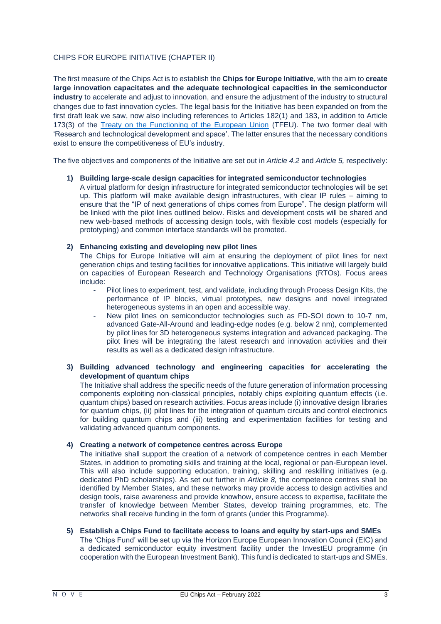# <span id="page-2-0"></span>CHIPS FOR EUROPE INITIATIVE (CHAPTER II)

The first measure of the Chips Act is to establish the **Chips for Europe Initiative**, with the aim to **create large innovation capacitates and the adequate technological capacities in the semiconductor industry** to accelerate and adjust to innovation, and ensure the adjustment of the industry to structural changes due to fast innovation cycles. The legal basis for the Initiative has been expanded on from the first draft leak we saw, now also including references to Articles 182(1) and 183, in addition to Article 173(3) of the [Treaty on the Functioning of the European Union](https://eur-lex.europa.eu/legal-content/EN/TXT/PDF/?uri=CELEX:12012E/TXT&from=EN) (TFEU). The two former deal with 'Research and technological development and space'. The latter ensures that the necessary conditions exist to ensure the competitiveness of EU's industry.

The five objectives and components of the Initiative are set out in *Article 4.2* and *Article 5,* respectively:

## **1) Building large-scale design capacities for integrated semiconductor technologies**

A virtual platform for design infrastructure for integrated semiconductor technologies will be set up. This platform will make available design infrastructures, with clear IP rules – aiming to ensure that the "IP of next generations of chips comes from Europe". The design platform will be linked with the pilot lines outlined below. Risks and development costs will be shared and new web-based methods of accessing design tools, with flexible cost models (especially for prototyping) and common interface standards will be promoted.

## **2) Enhancing existing and developing new pilot lines**

The Chips for Europe Initiative will aim at ensuring the deployment of pilot lines for next generation chips and testing facilities for innovative applications. This initiative will largely build on capacities of European Research and Technology Organisations (RTOs). Focus areas include:

- Pilot lines to experiment, test, and validate, including through Process Design Kits, the performance of IP blocks, virtual prototypes, new designs and novel integrated heterogeneous systems in an open and accessible way.
- New pilot lines on semiconductor technologies such as FD-SOI down to 10-7 nm, advanced Gate-All-Around and leading-edge nodes (e.g. below 2 nm), complemented by pilot lines for 3D heterogeneous systems integration and advanced packaging. The pilot lines will be integrating the latest research and innovation activities and their results as well as a dedicated design infrastructure.
- **3) Building advanced technology and engineering capacities for accelerating the development of quantum chips**

The Initiative shall address the specific needs of the future generation of information processing components exploiting non-classical principles, notably chips exploiting quantum effects (i.e. quantum chips) based on research activities. Focus areas include (i) innovative design libraries for quantum chips, (ii) pilot lines for the integration of quantum circuits and control electronics for building quantum chips and (iii) testing and experimentation facilities for testing and validating advanced quantum components.

# **4) Creating a network of competence centres across Europe**

The initiative shall support the creation of a network of competence centres in each Member States, in addition to promoting skills and training at the local, regional or pan-European level. This will also include supporting education, training, skilling and reskilling initiatives (e.g. dedicated PhD scholarships). As set out further in *Article 8,* the competence centres shall be identified by Member States, and these networks may provide access to design activities and design tools, raise awareness and provide knowhow, ensure access to expertise, facilitate the transfer of knowledge between Member States, develop training programmes, etc. The networks shall receive funding in the form of grants (under this Programme).

**5) Establish a Chips Fund to facilitate access to loans and equity by start-ups and SMEs** The 'Chips Fund' will be set up via the Horizon Europe European Innovation Council (EIC) and a dedicated semiconductor equity investment facility under the InvestEU programme (in cooperation with the European Investment Bank). This fund is dedicated to start-ups and SMEs.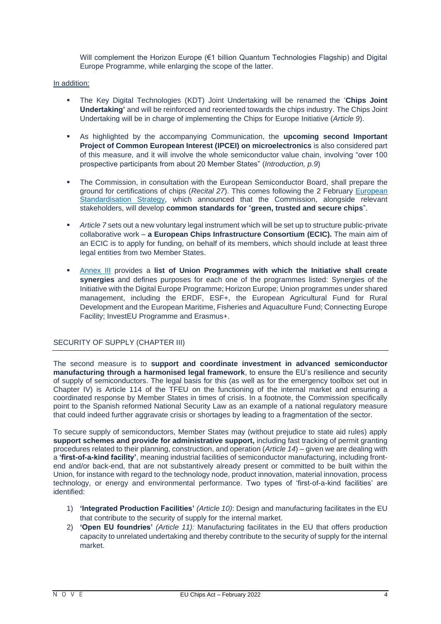Will complement the Horizon Europe (€1 billion Quantum Technologies Flagship) and Digital Europe Programme, while enlarging the scope of the latter.

## In addition:

- **•** The Key Digital Technologies (KDT) Joint Undertaking will be renamed the 'Chips Joint **Undertaking'** and will be reinforced and reoriented towards the chips industry. The Chips Joint Undertaking will be in charge of implementing the Chips for Europe Initiative (*Article 9*).
- As highlighted by the accompanying Communication, the **upcoming second Important Project of Common European Interest (IPCEI) on microelectronics** is also considered part of this measure, and it will involve the whole semiconductor value chain, involving "over 100 prospective participants from about 20 Member States" (*Introduction, p.9*)
- The Commission, in consultation with the European Semiconductor Board, shall prepare the ground for certifications of chips (*Recital 27*). This comes following the 2 February [European](https://ec.europa.eu/docsroom/documents/48598)  [Standardisation Strategy,](https://ec.europa.eu/docsroom/documents/48598) which announced that the Commission, alongside relevant stakeholders, will develop **common standards for** "**green, trusted and secure chips**".
- Article 7 sets out a new voluntary legal instrument which will be set up to structure public-private collaborative work – **a European Chips Infrastructure Consortium (ECIC).** The main aim of an ECIC is to apply for funding, on behalf of its members, which should include at least three legal entities from two Member States.
- [Annex](file:///C:/Users/Elise/Downloads/COM_2022_46_1_EN_annexe_proposition_cp_part1_v5_T3kPQJKdHYyUw7gG5GLUOqhLZ1Y_83084.pdf) III provides a **list of Union Programmes with which the Initiative shall create synergies** and defines purposes for each one of the programmes listed: Synergies of the Initiative with the Digital Europe Programme; Horizon Europe; Union programmes under shared management, including the ERDF, ESF+, the European Agricultural Fund for Rural Development and the European Maritime, Fisheries and Aquaculture Fund; Connecting Europe Facility; InvestEU Programme and Erasmus+.

# <span id="page-3-0"></span>SECURITY OF SUPPLY (CHAPTER III)

The second measure is to **support and coordinate investment in advanced semiconductor manufacturing through a harmonised legal framework**, to ensure the EU's resilience and security of supply of semiconductors. The legal basis for this (as well as for the emergency toolbox set out in Chapter IV) is Article 114 of the TFEU on the functioning of the internal market and ensuring a coordinated response by Member States in times of crisis. In a footnote, the Commission specifically point to the Spanish reformed National Security Law as an example of a national regulatory measure that could indeed further aggravate crisis or shortages by leading to a fragmentation of the sector.

To secure supply of semiconductors, Member States may (without prejudice to state aid rules) apply **support schemes and provide for administrative support,** including fast tracking of permit granting procedures related to their planning, construction, and operation (*Article 14*) – given we are dealing with a **'first-of-a-kind facility'**, meaning industrial facilities of semiconductor manufacturing, including frontend and/or back-end, that are not substantively already present or committed to be built within the Union, for instance with regard to the technology node, product innovation, material innovation, process technology, or energy and environmental performance. Two types of 'first-of-a-kind facilities' are identified:

- 1) **'Integrated Production Facilities'** *(Article 10)*: Design and manufacturing facilitates in the EU that contribute to the security of supply for the internal market.
- 2) **'Open EU foundries'** *(Article 11):* Manufacturing facilitates in the EU that offers production capacity to unrelated undertaking and thereby contribute to the security of supply for the internal market.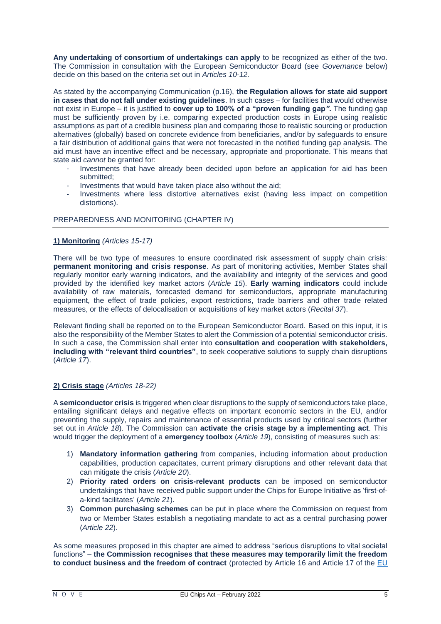**Any undertaking of consortium of undertakings can apply** to be recognized as either of the two. The Commission in consultation with the European Semiconductor Board (see *Governance* below) decide on this based on the criteria set out in *Articles 10-12.*

As stated by the accompanying Communication (p.16), **the Regulation allows for state aid support in cases that do not fall under existing guidelines**. In such cases – for facilities that would otherwise not exist in Europe – it is justified to **cover up to 100% of a "proven funding gap***".* The funding gap must be sufficiently proven by i.e. comparing expected production costs in Europe using realistic assumptions as part of a credible business plan and comparing those to realistic sourcing or production alternatives (globally) based on concrete evidence from beneficiaries, and/or by safeguards to ensure a fair distribution of additional gains that were not forecasted in the notified funding gap analysis. The aid must have an incentive effect and be necessary, appropriate and proportionate. This means that state aid *cannot* be granted for:

- Investments that have already been decided upon before an application for aid has been submitted;
- Investments that would have taken place also without the aid;
- Investments where less distortive alternatives exist (having less impact on competition distortions).

# <span id="page-4-0"></span>PREPAREDNESS AND MONITORING (CHAPTER IV)

# **1) Monitoring** *(Articles 15-17)*

There will be two type of measures to ensure coordinated risk assessment of supply chain crisis: **permanent monitoring and crisis response**. As part of monitoring activities, Member States shall regularly monitor early warning indicators, and the availability and integrity of the services and good provided by the identified key market actors (*Article 15*). **Early warning indicators** could include availability of raw materials, forecasted demand for semiconductors, appropriate manufacturing equipment, the effect of trade policies, export restrictions, trade barriers and other trade related measures, or the effects of delocalisation or acquisitions of key market actors (*Recital 37*).

Relevant finding shall be reported on to the European Semiconductor Board. Based on this input, it is also the responsibility of the Member States to alert the Commission of a potential semiconductor crisis. In such a case, the Commission shall enter into **consultation and cooperation with stakeholders, including with "relevant third countries"**, to seek cooperative solutions to supply chain disruptions (*Article 17*).

# **2) Crisis stage** *(Articles 18-22)*

A **semiconductor crisis** is triggered when clear disruptions to the supply of semiconductors take place, entailing significant delays and negative effects on important economic sectors in the EU, and/or preventing the supply, repairs and maintenance of essential products used by critical sectors (further set out in *Article 18*). The Commission can **activate the crisis stage by a implementing act**. This would trigger the deployment of a **emergency toolbox** (*Article 19*), consisting of measures such as:

- 1) **Mandatory information gathering** from companies, including information about production capabilities, production capacitates, current primary disruptions and other relevant data that can mitigate the crisis (*Article 20*).
- 2) **Priority rated orders on crisis-relevant products** can be imposed on semiconductor undertakings that have received public support under the Chips for Europe Initiative as 'first-ofa-kind facilitates' (*Article 21*).
- 3) **Common purchasing schemes** can be put in place where the Commission on request from two or Member States establish a negotiating mandate to act as a central purchasing power (*Article 22*).

As some measures proposed in this chapter are aimed to address "serious disruptions to vital societal functions" – **the Commission recognises that these measures may temporarily limit the freedom to conduct business and the freedom of contract** (protected by Article 16 and Article 17 of the [EU](https://eur-lex.europa.eu/legal-content/EN/TXT/PDF/?uri=CELEX:12012P/TXT&from=EN)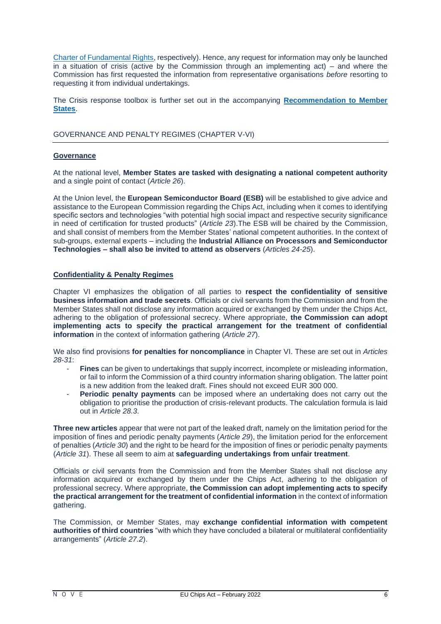[Charter of Fundamental Rights,](https://eur-lex.europa.eu/legal-content/EN/TXT/PDF/?uri=CELEX:12012P/TXT&from=EN) respectively). Hence, any request for information may only be launched in a situation of crisis (active by the Commission through an implementing act) – and where the Commission has first requested the information from representative organisations *before* resorting to requesting it from individual undertakings.

The Crisis response toolbox is further set out in the accompanying **[Recommendation to Member](https://ec.europa.eu/newsroom/dae/redirection/document/83095)  [States](https://ec.europa.eu/newsroom/dae/redirection/document/83095)**.

## <span id="page-5-0"></span>GOVERNANCE AND PENALTY REGIMES (CHAPTER V-VI)

### **Governance**

At the national level, **Member States are tasked with designating a national competent authority** and a single point of contact (*Article 26*).

At the Union level, the **European Semiconductor Board (ESB)** will be established to give advice and assistance to the European Commission regarding the Chips Act, including when it comes to identifying specific sectors and technologies "with potential high social impact and respective security significance in need of certification for trusted products" (*Article 23*).The ESB will be chaired by the Commission, and shall consist of members from the Member States' national competent authorities. In the context of sub-groups, external experts – including the **Industrial Alliance on Processors and Semiconductor Technologies – shall also be invited to attend as observers** (*Articles 24-25*).

### **Confidentiality & Penalty Regimes**

Chapter VI emphasizes the obligation of all parties to **respect the confidentiality of sensitive business information and trade secrets**. Officials or civil servants from the Commission and from the Member States shall not disclose any information acquired or exchanged by them under the Chips Act, adhering to the obligation of professional secrecy. Where appropriate, **the Commission can adopt implementing acts to specify the practical arrangement for the treatment of confidential information** in the context of information gathering (*Article 27*).

We also find provisions **for penalties for noncompliance** in Chapter VI. These are set out in *Articles 28-31*:

- **Fines** can be given to undertakings that supply incorrect, incomplete or misleading information, or fail to inform the Commission of a third country information sharing obligation. The latter point is a new addition from the leaked draft. Fines should not exceed EUR 300 000.
- **Periodic penalty payments** can be imposed where an undertaking does not carry out the obligation to prioritise the production of crisis-relevant products. The calculation formula is laid out in *Article 28.3*.

**Three new articles** appear that were not part of the leaked draft, namely on the limitation period for the imposition of fines and periodic penalty payments (*Article 29*), the limitation period for the enforcement of penalties (*Article 30*) and the right to be heard for the imposition of fines or periodic penalty payments (*Article 31*). These all seem to aim at **safeguarding undertakings from unfair treatment**.

Officials or civil servants from the Commission and from the Member States shall not disclose any information acquired or exchanged by them under the Chips Act, adhering to the obligation of professional secrecy. Where appropriate, **the Commission can adopt implementing acts to specify the practical arrangement for the treatment of confidential information** in the context of information gathering.

The Commission, or Member States, may **exchange confidential information with competent authorities of third countries** "with which they have concluded a bilateral or multilateral confidentiality arrangements" (*Article 27.2*).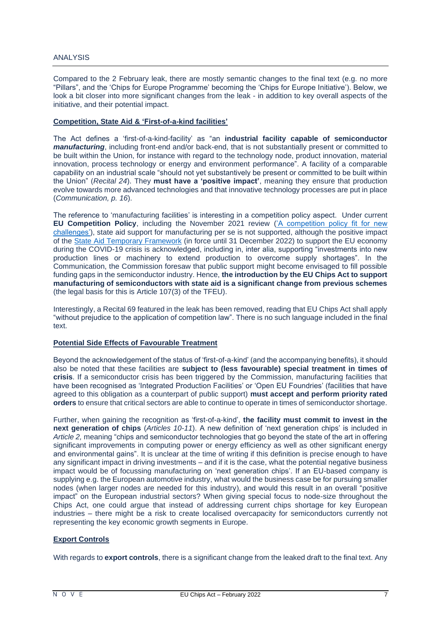## <span id="page-6-0"></span>ANALYSIS

Compared to the 2 February leak, there are mostly semantic changes to the final text (e.g. no more "Pillars", and the 'Chips for Europe Programme' becoming the 'Chips for Europe Initiative'). Below, we look a bit closer into more significant changes from the leak - in addition to key overall aspects of the initiative, and their potential impact.

## **Competition, State Aid & 'First-of-a-kind facilities'**

The Act defines a 'first-of-a-kind-facility' as "an **industrial facility capable of semiconductor**  *manufacturing*, including front-end and/or back-end, that is not substantially present or committed to be built within the Union, for instance with regard to the technology node, product innovation, material innovation, process technology or energy and environment performance". A facility of a comparable capability on an industrial scale "should not yet substantively be present or committed to be built within the Union" (*Recital 24*). They **must have a 'positive impact'**, meaning they ensure that production evolve towards more advanced technologies and that innovative technology processes are put in place (*Communication, p. 16*).

The reference to 'manufacturing facilities' is interesting in a competition policy aspect. Under current **EU Competition Policy**, including the November 2021 review [\('A competition policy fit for new](https://ec.europa.eu/transparency/documents-register/detail?ref=COM(2021)713&lang=en)  [challenges'\)](https://ec.europa.eu/transparency/documents-register/detail?ref=COM(2021)713&lang=en), state aid support for manufacturing per se is not supported, although the positive impact of the [State Aid Temporary Framework](https://ec.europa.eu/competition-policy/state-aid/coronavirus/temporary-framework_en) (in force until 31 December 2022) to support the EU economy during the COVID-19 crisis is acknowledged, including in, inter alia, supporting "investments into new production lines or machinery to extend production to overcome supply shortages". In the Communication, the Commission foresaw that public support might become envisaged to fill possible funding gaps in the semiconductor industry. Hence, **the introduction by the EU Chips Act to support manufacturing of semiconductors with state aid is a significant change from previous schemes** (the legal basis for this is Article 107(3) of the TFEU).

Interestingly, a Recital 69 featured in the leak has been removed, reading that EU Chips Act shall apply "without prejudice to the application of competition law". There is no such language included in the final text.

### **Potential Side Effects of Favourable Treatment**

Beyond the acknowledgement of the status of 'first-of-a-kind' (and the accompanying benefits), it should also be noted that these facilities are **subject to (less favourable) special treatment in times of crisis**. If a semiconductor crisis has been triggered by the Commission, manufacturing facilities that have been recognised as 'Integrated Production Facilities' or 'Open EU Foundries' (facilities that have agreed to this obligation as a counterpart of public support) **must accept and perform priority rated orders** to ensure that critical sectors are able to continue to operate in times of semiconductor shortage.

Further, when gaining the recognition as 'first-of-a-kind', **the facility must commit to invest in the next generation of chips** (*Articles 10-11*). A new definition of 'next generation chips' is included in *Article 2,* meaning "chips and semiconductor technologies that go beyond the state of the art in offering significant improvements in computing power or energy efficiency as well as other significant energy and environmental gains". It is unclear at the time of writing if this definition is precise enough to have any significant impact in driving investments – and if it is the case, what the potential negative business impact would be of focussing manufacturing on 'next generation chips'. If an EU-based company is supplying e.g. the European automotive industry, what would the business case be for pursuing smaller nodes (when larger nodes are needed for this industry), and would this result in an overall "positive impact" on the European industrial sectors? When giving special focus to node-size throughout the Chips Act, one could argue that instead of addressing current chips shortage for key European industries – there might be a risk to create localised overcapacity for semiconductors currently not representing the key economic growth segments in Europe.

# **Export Controls**

With regards to **export controls**, there is a significant change from the leaked draft to the final text. Any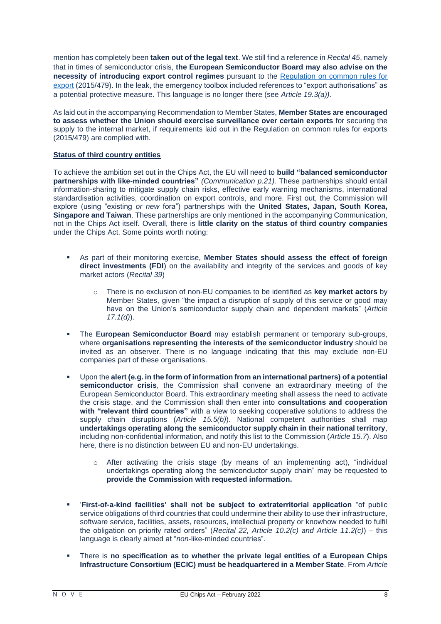mention has completely been **taken out of the legal text**. We still find a reference in *Recital 45*, namely that in times of semiconductor crisis, **the European Semiconductor Board may also advise on the necessity of introducing export control regimes** pursuant to the [Regulation on common rules for](https://eur-lex.europa.eu/legal-content/EN/TXT/PDF/?uri=CELEX:32015R0479&from=EN)  [export](https://eur-lex.europa.eu/legal-content/EN/TXT/PDF/?uri=CELEX:32015R0479&from=EN) (2015/479). In the leak, the emergency toolbox included references to "export authorisations" as a potential protective measure. This language is no longer there (see *Article 19.3(a)).* 

As laid out in the accompanying Recommendation to Member States, **Member States are encouraged to assess whether the Union should exercise surveillance over certain exports** for securing the supply to the internal market, if requirements laid out in the Regulation on common rules for exports (2015/479) are complied with.

## **Status of third country entities**

To achieve the ambition set out in the Chips Act, the EU will need to **build "balanced semiconductor partnerships with like-minded countries"** *(Communication p.21).* These partnerships should entail information-sharing to mitigate supply chain risks, effective early warning mechanisms, international standardisation activities, coordination on export controls, and more. First out, the Commission will explore (using "existing *or new* fora") partnerships with the **United States, Japan, South Korea, Singapore and Taiwan**. These partnerships are only mentioned in the accompanying Communication, not in the Chips Act itself. Overall, there is **little clarity on the status of third country companies** under the Chips Act. Some points worth noting:

- As part of their monitoring exercise. Member States should assess the effect of foreign **direct investments (FDI**) on the availability and integrity of the services and goods of key market actors (*Recital 39*)
	- o There is no exclusion of non-EU companies to be identified as **key market actors** by Member States, given "the impact a disruption of supply of this service or good may have on the Union's semiconductor supply chain and dependent markets" (*Article 17.1(d)*).
- **EXECT** The **European Semiconductor Board** may establish permanent or temporary sub-groups, where **organisations representing the interests of the semiconductor industry** should be invited as an observer. There is no language indicating that this may exclude non-EU companies part of these organisations.
- Upon the **alert (e.g. in the form of information from an international partners) of a potential semiconductor crisis**, the Commission shall convene an extraordinary meeting of the European Semiconductor Board. This extraordinary meeting shall assess the need to activate the crisis stage, and the Commission shall then enter into **consultations and cooperation with "relevant third countries"** with a view to seeking cooperative solutions to address the supply chain disruptions (*Article 15.5(b)*). National competent authorities shall map **undertakings operating along the semiconductor supply chain in their national territory**, including non-confidential information, and notify this list to the Commission (*Article 15.7*). Also here, there is no distinction between EU and non-EU undertakings.
	- $\circ$  After activating the crisis stage (by means of an implementing act), "individual undertakings operating along the semiconductor supply chain" may be requested to **provide the Commission with requested information.**
- '**First-of-a-kind facilities' shall not be subject to extraterritorial application** "of public service obligations of third countries that could undermine their ability to use their infrastructure, software service, facilities, assets, resources, intellectual property or knowhow needed to fulfil the obligation on priority rated orders" (*Recital 22, Article 10.2(c) and Article 11.2(c)*) – this language is clearly aimed at "*non*-like-minded countries".
- There is **no specification as to whether the private legal entities of a European Chips Infrastructure Consortium (ECIC) must be headquartered in a Member State**. From *Article*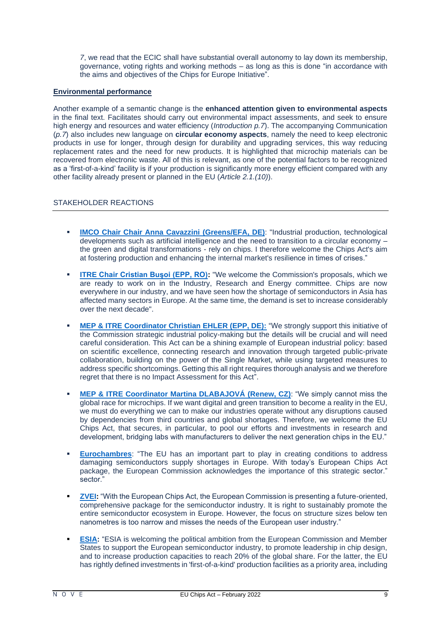*7*, we read that the ECIC shall have substantial overall autonomy to lay down its membership, governance, voting rights and working methods – as long as this is done "in accordance with the aims and objectives of the Chips for Europe Initiative".

## **Environmental performance**

Another example of a semantic change is the **enhanced attention given to environmental aspects**  in the final text. Facilitates should carry out environmental impact assessments, and seek to ensure high energy and resources and water efficiency (*Introduction p.7*). The accompanying Communication (*p.7*) also includes new language on **circular economy aspects**, namely the need to keep electronic products in use for longer, through design for durability and upgrading services, this way reducing replacement rates and the need for new products. It is highlighted that microchip materials can be recovered from electronic waste. All of this is relevant, as one of the potential factors to be recognized as a 'first-of-a-kind' facility is if your production is significantly more energy efficient compared with any other facility already present or planned in the EU (*Article 2.1.(10)*).

# <span id="page-8-0"></span>STAKEHOLDER REACTIONS

- **[IMCO Chair Chair Anna Cavazzini](https://eur02.safelinks.protection.outlook.com/?url=http%3A%2F%2Fmmail.dods.co.uk%2Fls%2Fclick%3Fupn%3D5UGQf6REyGxxRNQwALIliz036KXVubtcfziFfDwBqsthrCP64kiQASQ8xhWPr-2BGx9E0nmfyEOwI39V8SC02jybQ9sg7Sf30vE4YWcYd2fDvpezRvz-2FlBnEwWkOLTaTqaVODnr17NruJdntJjbpgHIRoO03dOU6JcC7-2FMRVROHBxHlIAoMlU14KJv1ENFSxK1IJHtlhCw-2BzqtS1sSZyeIJQ-3D-3DH7kE_FZmtMAw-2B2dy1obQ5vnJIl2NV67Ot94jUSjRuyAAZDdl3KI6Di0lAklwUA3QKJD2vy-2BlVi-2FFaiUQw06y9JB-2Fza1-2FqwuuUem8roevJThh3aAj9-2F75lW44RVwf6UVASc9FuK5sXpWTBeTBjAnFecbLD4719QqKctWPhBBwHlIIxdaWGg27GAj4gDjF8R-2BUVwILTNUGmzAbU-2FbSwkd3qLvB23uBv8noGsRlG0IwEDplgyLM-3D&data=04%7C01%7Ccatarina.vultossequeira%40nove.eu%7Ccfb1835f3e914982f6f908d9eb152f3d%7Cc21b97f6f2304b41b1eb0d511548af7c%7C0%7C0%7C637799298504983618%7CUnknown%7CTWFpbGZsb3d8eyJWIjoiMC4wLjAwMDAiLCJQIjoiV2luMzIiLCJBTiI6Ik1haWwiLCJXVCI6Mn0%3D%7C3000&sdata=a%2FJDNqf3Eygtqg0FQFkegRnlZ57DWp1qDIqbCs%2BiwYo%3D&reserved=0) (Greens/EFA, DE):** "Industrial production, technological developments such as artificial intelligence and the need to transition to a circular economy – the green and digital transformations - rely on chips. I therefore welcome the Chips Act's aim at fostering production and enhancing the internal market's resilience in times of crises."
- **ITRE Chair Cristian Busoi (EPP, RO):** "We welcome the Commission's proposals, which we are ready to work on in the Industry, Research and Energy committee. Chips are now everywhere in our industry, and we have seen how the shortage of semiconductors in Asia has affected many sectors in Europe. At the same time, the demand is set to increase considerably over the next decade".
- **[MEP & ITRE Coordinator Christian EHLER \(EPP, DE\):](https://www.eppgroup.eu/newsroom/news/make-europe-the-chips-global-capital)** "We strongly support this initiative of the Commission strategic industrial policy-making but the details will be crucial and will need careful consideration. This Act can be a shining example of European industrial policy: based on scientific excellence, connecting research and innovation through targeted public-private collaboration, building on the power of the Single Market, while using targeted measures to address specific shortcomings. Getting this all right requires thorough analysis and we therefore regret that there is no Impact Assessment for this Act".
- **[MEP & ITRE Coordinator Martina DLABAJOVÁ \(Renew, CZ\)](https://www.reneweuropegroup.eu/news/2022-02-08/chips-act-a-future-proof-investment-in-eu-resilience-and-autonomy):** "We simply cannot miss the global race for microchips. If we want digital and green transition to become a reality in the EU, we must do everything we can to make our industries operate without any disruptions caused by dependencies from third countries and global shortages. Therefore, we welcome the EU Chips Act, that secures, in particular, to pool our efforts and investments in research and development, bridging labs with manufacturers to deliver the next generation chips in the EU."
- **[Eurochambres](https://twitter.com/EUROCHAMBRES/status/1491067488779763714)**: ["The EU ha](https://www.eurochambres.eu/)s an important part to play in creating conditions to address damaging semiconductors supply shortages in Europe. With today's European Chips Act package, the European Commission acknowledges the importance of this strategic sector." sector."
- **[ZVEI:](https://www.zvei.org/en/press-media/pressarea/zvei-eu-chips-act-is-future-oriented-but-must-address-a-broader-technological-scope)** "With the European Chips Act, the European Commission is presenting a future-oriented, comprehensive package for the semiconductor industry. It is right to sustainably promote the entire semiconductor ecosystem in Europe. However, the focus on structure sizes below ten nanometres is too narrow and misses the needs of the European user industry."
- **[ESIA:](https://www.eusemiconductors.eu/sites/default/files/ESIA_PR_EuropeanChipsAct_2022_final.pdf)** "ESIA is welcoming the political ambition from the European Commission and Member States to support the European semiconductor industry, to promote leadership in chip design, and to increase production capacities to reach 20% of the global share. For the latter, the EU has rightly defined investments in 'first-of-a-kind' production facilities as a priority area, including